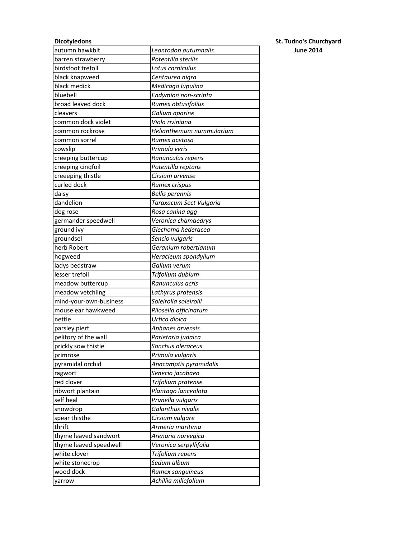| <b>Dicotyledons</b>    |                          | <b>St. Tudno's Churchyard</b> |
|------------------------|--------------------------|-------------------------------|
| autumn hawkbit         | Leontodon autumnalis     | <b>June 2014</b>              |
| barren strawberry      | Potentilla sterilis      |                               |
| birdsfoot trefoil      | Lotus corniculus         |                               |
| black knapweed         | Centaurea nigra          |                               |
| black medick           | Medicago lupulina        |                               |
| bluebell               | Endymion non-scripta     |                               |
| broad leaved dock      | Rumex obtusifolius       |                               |
| cleavers               | Galium aparine           |                               |
| common dock violet     | Viola riviniana          |                               |
| common rockrose        | Helianthemum nummularium |                               |
| common sorrel          | Rumex acetosa            |                               |
| cowslip                | Primula veris            |                               |
| creeping buttercup     | Ranunculus repens        |                               |
| creeping cinqfoil      | Potentilla reptans       |                               |
| creeeping thistle      | Cirsium arvense          |                               |
| curled dock            | Rumex crispus            |                               |
| daisy                  | <b>Bellis perennis</b>   |                               |
| dandelion              | Taraxacum Sect Vulgaria  |                               |
| dog rose               | Rosa canina agg          |                               |
| germander speedwell    | Veronica chamaedrys      |                               |
| ground ivy             | Glechoma hederacea       |                               |
| groundsel              | Sencio vulgaris          |                               |
| herb Robert            | Geranium robertianum     |                               |
| hogweed                | Heracleum spondylium     |                               |
| ladys bedstraw         | Galium verum             |                               |
| lesser trefoil         | Trifolium dubium         |                               |
| meadow buttercup       | Ranunculus acris         |                               |
| meadow vetchling       | Lathyrus pratensis       |                               |
| mind-your-own-business | Soleirolia soleirolii    |                               |
| mouse ear hawkweed     | Pilosella officinarum    |                               |
| nettle                 | Urtica dioica            |                               |
| parsley piert          | Aphanes arvensis         |                               |
| pelitory of the wall   | Parietaria judaica       |                               |
| prickly sow thistle    | Sonchus oleraceus        |                               |
| primrose               | Primula vulgaris         |                               |
| pyramidal orchid       | Anacamptis pyramidalis   |                               |
| ragwort                | Senecio jacobaea         |                               |
| red clover             | Trifolium pratense       |                               |
| ribwort plantain       | Plantago lanceolota      |                               |
| self heal              | Prunella vulgaris        |                               |
| snowdrop               | Galanthus nivalis        |                               |
| spear thisthe          | Cirsium vulgare          |                               |
| thrift                 | Armeria maritima         |                               |
| thyme leaved sandwort  | Arenaria norvegica       |                               |
| thyme leaved speedwell | Veronica serpyllifolia   |                               |
| white clover           | Trifolium repens         |                               |
| white stonecrop        | Sedum album              |                               |
| wood dock              | Rumex sanguineus         |                               |
|                        | Achillia millefolium     |                               |
| yarrow                 |                          |                               |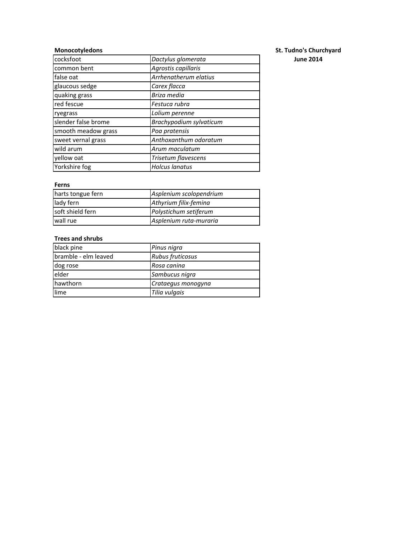| cocksfoot           | Dactylus glomerata      | <b>June 2014</b> |
|---------------------|-------------------------|------------------|
| common bent         | Agrostis capillaris     |                  |
| false oat           | Arrhenatherum elatius   |                  |
| glaucous sedge      | Carex flacca            |                  |
| quaking grass       | Briza media             |                  |
| red fescue          | Festuca rubra           |                  |
| ryegrass            | Lolium perenne          |                  |
| slender false brome | Brachypodium sylvaticum |                  |
| smooth meadow grass | Poa pratensis           |                  |
| sweet vernal grass  | Anthoxanthum odoratum   |                  |
| wild arum           | Arum maculatum          |                  |
| yellow oat          | Trisetum flavescens     |                  |
| Yorkshire fog       | <b>Holcus lanatus</b>   |                  |

### **Ferns**

| harts tongue fern | Asplenium scolopendrium |
|-------------------|-------------------------|
| lady fern         | Athyrium filix-femina   |
| soft shield fern  | Polystichum setiferum   |
| wall rue          | Asplenium ruta-muraria  |

### **Trees and shrubs**

| black pine           | Pinus nigra        |
|----------------------|--------------------|
| bramble - elm leaved | Rubus fruticosus   |
| dog rose             | Rosa canina        |
| elder                | Sambucus nigra     |
| hawthorn             | Crataegus monogyna |
| llime                | Tilia vulgais      |

# **Monocotyledons** St. Tudno's Churchyard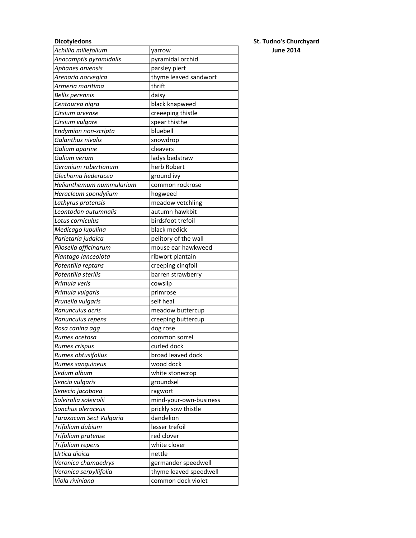| Achillia millefolium     | yarrow                 |
|--------------------------|------------------------|
| Anacamptis pyramidalis   | pyramidal orchid       |
| Aphanes arvensis         | parsley piert          |
| Arenaria norvegica       | thyme leaved sandwort  |
| Armeria maritima         | thrift                 |
| <b>Bellis perennis</b>   | daisy                  |
| Centaurea nigra          | black knapweed         |
| Cirsium arvense          | creeeping thistle      |
| Cirsium vulgare          | spear thisthe          |
| Endymion non-scripta     | bluebell               |
| Galanthus nivalis        | snowdrop               |
| Galium aparine           | cleavers               |
| Galium verum             | ladys bedstraw         |
| Geranium robertianum     | herb Robert            |
| Glechoma hederacea       | ground ivy             |
| Helianthemum nummularium | common rockrose        |
| Heracleum spondylium     | hogweed                |
| Lathyrus pratensis       | meadow vetchling       |
| Leontodon autumnalis     | autumn hawkbit         |
| Lotus corniculus         | birdsfoot trefoil      |
| Medicago lupulina        | black medick           |
| Parietaria judaica       | pelitory of the wall   |
| Pilosella officinarum    | mouse ear hawkweed     |
| Plantago lanceolota      | ribwort plantain       |
| Potentilla reptans       | creeping cinqfoil      |
| Potentilla sterilis      | barren strawberry      |
| Primula veris            | cowslip                |
| Primula vulgaris         | primrose               |
| Prunella vulgaris        | self heal              |
| Ranunculus acris         | meadow buttercup       |
| Ranunculus repens        | creeping buttercup     |
| Rosa canina agg          | dog rose               |
| Rumex acetosa            | common sorrel          |
| Rumex crispus            | curled dock            |
| Rumex obtusifolius       | broad leaved dock      |
| Rumex sanguineus         | wood dock              |
| Sedum album              | white stonecrop        |
| Sencio vulgaris          | groundsel              |
| Senecio jacobaea         | ragwort                |
| Soleirolia soleirolii    | mind-your-own-business |
| Sonchus oleraceus        | prickly sow thistle    |
| Taraxacum Sect Vulgaria  | dandelion              |
| Trifolium dubium         | lesser trefoil         |
| Trifolium pratense       | red clover             |
| Trifolium repens         | white clover           |
| Urtica dioica            | nettle                 |
| Veronica chamaedrys      | germander speedwell    |
| Veronica serpyllifolia   | thyme leaved speedwell |
| Viola riviniana          | common dock violet     |

# **Dicotyledons St. Tudno's Churchyard** *Achillia millefolium* yarrow **June 2014**